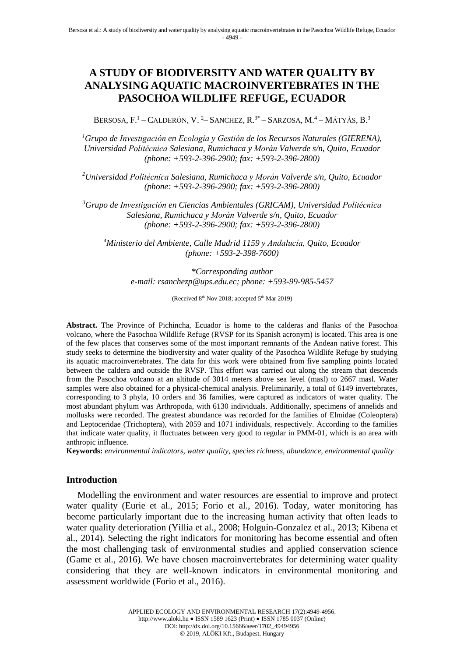# **A STUDY OF BIODIVERSITY AND WATER QUALITY BY ANALYSING AQUATIC MACROINVERTEBRATES IN THE PASOCHOA WILDLIFE REFUGE, ECUADOR**

BERSOSA,  $F<sup>1</sup>$  – CALDERÓN, V. <sup>2</sup>– SANCHEZ,  $R<sup>3*</sup>$  – SARZOSA,  $M<sup>4</sup>$  – MÁTYÁS,  $B<sup>3</sup>$ 

*<sup>1</sup>Grupo de Investigación en Ecología y Gestión de los Recursos Naturales (GIERENA), Universidad Politécnica Salesiana, Rumichaca y Morán Valverde s/n, Quito, Ecuador (phone: +593-2-396-2900; fax: +593-2-396-2800)*

*<sup>2</sup>Universidad Politécnica Salesiana, Rumichaca y Morán Valverde s/n, Quito, Ecuador (phone: +593-2-396-2900; fax: +593-2-396-2800)*

*<sup>3</sup>Grupo de Investigación en Ciencias Ambientales (GRICAM), Universidad Politécnica Salesiana, Rumichaca y Morán Valverde s/n, Quito, Ecuador (phone: +593-2-396-2900; fax: +593-2-396-2800)*

*<sup>4</sup>Ministerio del Ambiente, Calle Madrid 1159 y Andalucía, Quito, Ecuador (phone: +593-2-398-7600)*

*\*Corresponding author e-mail: rsanchezp@ups.edu.ec; phone: +593-99-985-5457*

(Received 8<sup>th</sup> Nov 2018; accepted 5<sup>th</sup> Mar 2019)

**Abstract.** The Province of Pichincha, Ecuador is home to the calderas and flanks of the Pasochoa volcano, where the Pasochoa Wildlife Refuge (RVSP for its Spanish acronym) is located. This area is one of the few places that conserves some of the most important remnants of the Andean native forest. This study seeks to determine the biodiversity and water quality of the Pasochoa Wildlife Refuge by studying its aquatic macroinvertebrates. The data for this work were obtained from five sampling points located between the caldera and outside the RVSP. This effort was carried out along the stream that descends from the Pasochoa volcano at an altitude of 3014 meters above sea level (masl) to 2667 masl. Water samples were also obtained for a physical-chemical analysis. Preliminarily, a total of 6149 invertebrates, corresponding to 3 phyla, 10 orders and 36 families, were captured as indicators of water quality. The most abundant phylum was Arthropoda, with 6130 individuals. Additionally, specimens of annelids and mollusks were recorded. The greatest abundance was recorded for the families of Elmidae (Coleoptera) and Leptoceridae (Trichoptera), with 2059 and 1071 individuals, respectively. According to the families that indicate water quality, it fluctuates between very good to regular in PMM-01, which is an area with anthropic influence.

**Keywords:** *environmental indicators, water quality, species richness, abundance, environmental quality*

## **Introduction**

Modelling the environment and water resources are essential to improve and protect water quality (Eurie et al., 2015; Forio et al., 2016). Today, water monitoring has become particularly important due to the increasing human activity that often leads to water quality deterioration (Yillia et al., 2008; Holguin-Gonzalez et al., 2013; Kibena et al., 2014). Selecting the right indicators for monitoring has become essential and often the most challenging task of environmental studies and applied conservation science (Game et al., 2016). We have chosen macroinvertebrates for determining water quality considering that they are well-known indicators in environmental monitoring and assessment worldwide (Forio et al., 2016).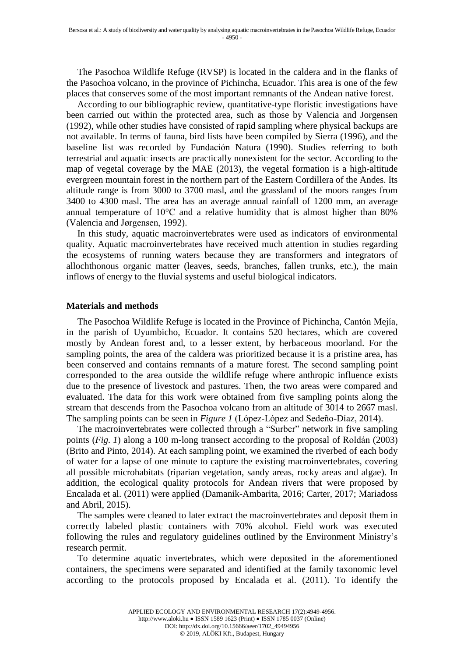The Pasochoa Wildlife Refuge (RVSP) is located in the caldera and in the flanks of the Pasochoa volcano, in the province of Pichincha, Ecuador. This area is one of the few places that conserves some of the most important remnants of the Andean native forest.

According to our bibliographic review, quantitative-type floristic investigations have been carried out within the protected area, such as those by Valencia and Jorgensen (1992), while other studies have consisted of rapid sampling where physical backups are not available. In terms of fauna, bird lists have been compiled by Sierra (1996), and the baseline list was recorded by Fundación Natura (1990). Studies referring to both terrestrial and aquatic insects are practically nonexistent for the sector. According to the map of vegetal coverage by the MAE (2013), the vegetal formation is a high-altitude evergreen mountain forest in the northern part of the Eastern Cordillera of the Andes. Its altitude range is from 3000 to 3700 masl, and the grassland of the moors ranges from 3400 to 4300 masl. The area has an average annual rainfall of 1200 mm, an average annual temperature of 10°C and a relative humidity that is almost higher than 80% (Valencia and Jørgensen, 1992).

In this study, aquatic macroinvertebrates were used as indicators of environmental quality. Aquatic macroinvertebrates have received much attention in studies regarding the ecosystems of running waters because they are transformers and integrators of allochthonous organic matter (leaves, seeds, branches, fallen trunks, etc.), the main inflows of energy to the fluvial systems and useful biological indicators.

#### **Materials and methods**

The Pasochoa Wildlife Refuge is located in the Province of Pichincha, Cantón Mejía, in the parish of Uyumbicho, Ecuador. It contains 520 hectares, which are covered mostly by Andean forest and, to a lesser extent, by herbaceous moorland. For the sampling points, the area of the caldera was prioritized because it is a pristine area, has been conserved and contains remnants of a mature forest. The second sampling point corresponded to the area outside the wildlife refuge where anthropic influence exists due to the presence of livestock and pastures. Then, the two areas were compared and evaluated. The data for this work were obtained from five sampling points along the stream that descends from the Pasochoa volcano from an altitude of 3014 to 2667 masl. The sampling points can be seen in *Figure 1* (López-López and Sedeño-Díaz, 2014).

The macroinvertebrates were collected through a "Surber" network in five sampling points (*Fig. 1*) along a 100 m-long transect according to the proposal of Roldán (2003) (Brito and Pinto, 2014). At each sampling point, we examined the riverbed of each body of water for a lapse of one minute to capture the existing macroinvertebrates, covering all possible microhabitats (riparian vegetation, sandy areas, rocky areas and algae). In addition, the ecological quality protocols for Andean rivers that were proposed by Encalada et al. (2011) were applied (Damanik-Ambarita, 2016; Carter, 2017; Mariadoss and Abril, 2015).

The samples were cleaned to later extract the macroinvertebrates and deposit them in correctly labeled plastic containers with 70% alcohol. Field work was executed following the rules and regulatory guidelines outlined by the Environment Ministry's research permit.

To determine aquatic invertebrates, which were deposited in the aforementioned containers, the specimens were separated and identified at the family taxonomic level according to the protocols proposed by Encalada et al. (2011). To identify the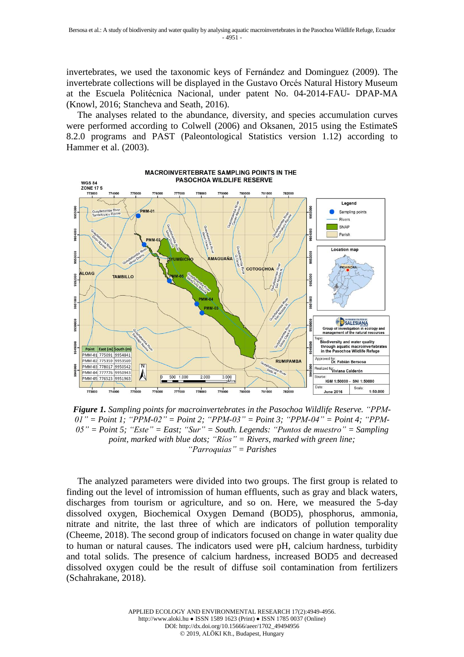invertebrates, we used the taxonomic keys of Fernández and Dominguez (2009). The invertebrate collections will be displayed in the Gustavo Orcés Natural History Museum at the Escuela Politécnica Nacional, under patent No. 04-2014-FAU- DPAP-MA (Knowl, 2016; Stancheva and Seath, 2016).

The analyses related to the abundance, diversity, and species accumulation curves were performed according to Colwell (2006) and Oksanen, 2015 using the EstimateS 8.2.0 programs and PAST (Paleontological Statistics version 1.12) according to Hammer et al. (2003).



*Figure 1. Sampling points for macroinvertebrates in the Pasochoa Wildlife Reserve. "PPM-01" = Point 1; "PPM-02" = Point 2; "PPM-03" = Point 3; "PPM-04" = Point 4; "PPM-05" = Point 5; "Este" = East; "Sur" = South. Legends: "Puntos de muestro" = Sampling point, marked with blue dots; "Ríos" = Rivers, marked with green line; "Parroquias" = Parishes*

The analyzed parameters were divided into two groups. The first group is related to finding out the level of intromission of human effluents, such as gray and black waters, discharges from tourism or agriculture, and so on. Here, we measured the 5-day dissolved oxygen, Biochemical Oxygen Demand (BOD5), phosphorus, ammonia, nitrate and nitrite, the last three of which are indicators of pollution temporality (Cheeme, 2018). The second group of indicators focused on change in water quality due to human or natural causes. The indicators used were pH, calcium hardness, turbidity and total solids. The presence of calcium hardness, increased BOD5 and decreased dissolved oxygen could be the result of diffuse soil contamination from fertilizers (Schahrakane, 2018).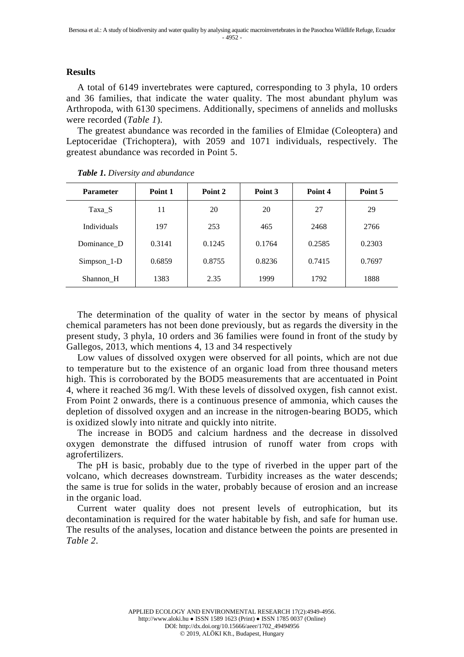## **Results**

A total of 6149 invertebrates were captured, corresponding to 3 phyla, 10 orders and 36 families, that indicate the water quality. The most abundant phylum was Arthropoda, with 6130 specimens. Additionally, specimens of annelids and mollusks were recorded (*Table 1*).

The greatest abundance was recorded in the families of Elmidae (Coleoptera) and Leptoceridae (Trichoptera), with 2059 and 1071 individuals, respectively. The greatest abundance was recorded in Point 5.

| <b>Parameter</b>   | Point 1 | Point 2<br>Point 3 |        | Point 4 | Point 5 |
|--------------------|---------|--------------------|--------|---------|---------|
| Taxa S             | 11      | 20                 | 20     | 27      | 29      |
| <b>Individuals</b> | 197     | 253                | 465    | 2468    |         |
| Dominance D        | 0.3141  | 0.1245             | 0.1764 | 0.2585  | 0.2303  |
| $Simpson_1-D$      | 0.6859  | 0.8755             | 0.8236 | 0.7415  | 0.7697  |
| Shannon H          | 1383    | 2.35               | 1999   | 1792    | 1888    |

The determination of the quality of water in the sector by means of physical chemical parameters has not been done previously, but as regards the diversity in the present study, 3 phyla, 10 orders and 36 families were found in front of the study by Gallegos, 2013, which mentions 4, 13 and 34 respectively

Low values of dissolved oxygen were observed for all points, which are not due to temperature but to the existence of an organic load from three thousand meters high. This is corroborated by the BOD5 measurements that are accentuated in Point 4, where it reached 36 mg/l. With these levels of dissolved oxygen, fish cannot exist. From Point 2 onwards, there is a continuous presence of ammonia, which causes the depletion of dissolved oxygen and an increase in the nitrogen-bearing BOD5, which is oxidized slowly into nitrate and quickly into nitrite.

The increase in BOD5 and calcium hardness and the decrease in dissolved oxygen demonstrate the diffused intrusion of runoff water from crops with agrofertilizers.

The pH is basic, probably due to the type of riverbed in the upper part of the volcano, which decreases downstream. Turbidity increases as the water descends; the same is true for solids in the water, probably because of erosion and an increase in the organic load.

Current water quality does not present levels of eutrophication, but its decontamination is required for the water habitable by fish, and safe for human use. The results of the analyses, location and distance between the points are presented in *Table 2*.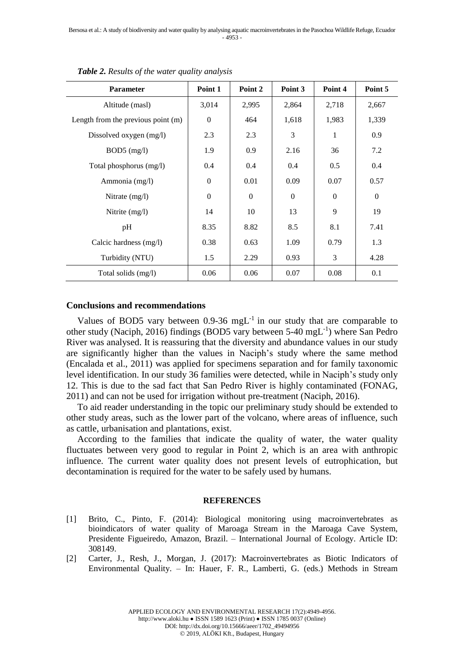| <b>Parameter</b>                   | Point 1          | Point 2        | Point 3  | Point 4        | Point 5      |
|------------------------------------|------------------|----------------|----------|----------------|--------------|
| Altitude (masl)                    | 3,014            | 2,995          | 2,864    | 2,718          | 2,667        |
| Length from the previous point (m) | $\boldsymbol{0}$ | 464            | 1,618    | 1,983          | 1,339        |
| Dissolved oxygen (mg/l)            | 2.3              | 2.3            | 3        | 1              | 0.9          |
| $BOD5$ (mg/l)                      | 1.9              | 0.9            | 2.16     | 36             | 7.2          |
| Total phosphorus (mg/l)            | 0.4              | 0.4            | 0.4      | 0.5            | 0.4          |
| Ammonia (mg/l)                     | $\mathbf{0}$     | 0.01           | 0.09     | 0.07           | 0.57         |
| Nitrate $(mg/l)$                   | $\boldsymbol{0}$ | $\overline{0}$ | $\Omega$ | $\overline{0}$ | $\mathbf{0}$ |
| Nitrite $(mg/l)$                   | 14               | 10             | 13       | 9              | 19           |
| pH                                 | 8.35             | 8.82           | 8.5      | 8.1            | 7.41         |
| Calcic hardness (mg/l)             | 0.38             | 0.63           | 1.09     | 0.79           | 1.3          |
| Turbidity (NTU)                    | 1.5              | 2.29           | 0.93     | 3              | 4.28         |
| Total solids (mg/l)                | 0.06             | 0.06           | 0.07     | 0.08           | 0.1          |

*Table 2. Results of the water quality analysis*

## **Conclusions and recommendations**

Values of BOD5 vary between  $0.9\n-36$  mgL<sup>-1</sup> in our study that are comparable to other study (Naciph, 2016) findings (BOD5 vary between 5-40 mgL<sup>-1</sup>) where San Pedro River was analysed. It is reassuring that the diversity and abundance values in our study are significantly higher than the values in Naciph's study where the same method (Encalada et al., 2011) was applied for specimens separation and for family taxonomic level identification. In our study 36 families were detected, while in Naciph's study only 12. This is due to the sad fact that San Pedro River is highly contaminated (FONAG, 2011) and can not be used for irrigation without pre-treatment (Naciph, 2016).

To aid reader understanding in the topic our preliminary study should be extended to other study areas, such as the lower part of the volcano, where areas of influence, such as cattle, urbanisation and plantations, exist.

According to the families that indicate the quality of water, the water quality fluctuates between very good to regular in Point 2, which is an area with anthropic influence. The current water quality does not present levels of eutrophication, but decontamination is required for the water to be safely used by humans.

#### **REFERENCES**

- [1] Brito, C., Pinto, F. (2014): Biological monitoring using macroinvertebrates as bioindicators of water quality of Maroaga Stream in the Maroaga Cave System, Presidente Figueiredo, Amazon, Brazil. – International Journal of Ecology. Article ID: 308149.
- [2] Carter, J., Resh, J., Morgan, J. (2017): Macroinvertebrates as Biotic Indicators of Environmental Quality. – In: Hauer, F. R., Lamberti, G. (eds.) Methods in Stream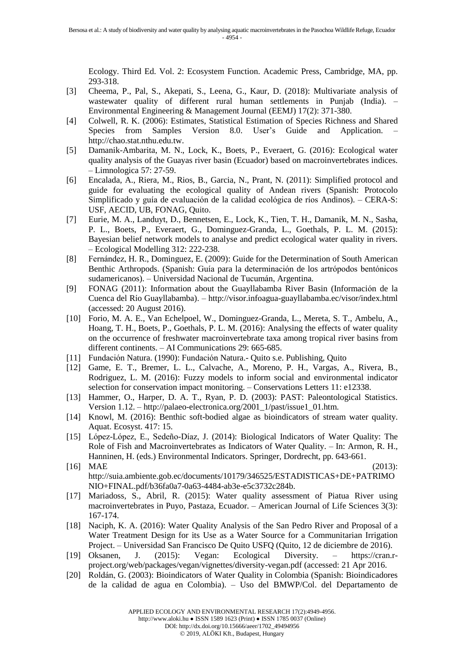Ecology. Third Ed. Vol. 2: Ecosystem Function. Academic Press, Cambridge, MA, pp. 293-318.

- [3] Cheema, P., Pal, S., Akepati, S., Leena, G., Kaur, D. (2018): Multivariate analysis of wastewater quality of different rural human settlements in Punjab (India). – Environmental Engineering & Management Journal (EEMJ) 17(2): 371-380.
- [4] Colwell, R. K. (2006): Estimates, Statistical Estimation of Species Richness and Shared Species from Samples Version 8.0. User's Guide and Application. http://chao.stat.nthu.edu.tw.
- [5] Damanik-Ambarita, M. N., Lock, K., Boets, P., Everaert, G. (2016): Ecological water quality analysis of the Guayas river basin (Ecuador) based on macroinvertebrates indices. – Limnologica 57: 27-59.
- [6] Encalada, A., Riera, M., Rios, B., Garcia, N., Prant, N. (2011): Simplified protocol and guide for evaluating the ecological quality of Andean rivers (Spanish: Protocolo Simplificado y guía de evaluación de la calidad ecológica de ríos Andinos). – CERA-S: USF, AECID, UB, FONAG, Quito.
- [7] Eurie, M. A., Landuyt, D., Bennetsen, E., Lock, K., Tien, T. H., Damanik, M. N., Sasha, P. L., Boets, P., Everaert, G., Dominguez-Granda, L., Goethals, P. L. M. (2015): Bayesian belief network models to analyse and predict ecological water quality in rivers. – Ecological Modelling 312: 222-238.
- [8] Fernández, H. R., Dominguez, E. (2009): Guide for the Determination of South American Benthic Arthropods. (Spanish: Guía para la determinación de los artrópodos bentónicos sudamericanos). – Universidad Nacional de Tucumán, Argentina.
- [9] FONAG (2011): Information about the Guayllabamba River Basin (Información de la Cuenca del Río Guayllabamba). – http://visor.infoagua-guayllabamba.ec/visor/index.html (accessed: 20 August 2016).
- [10] Forio, M. A. E., Van Echelpoel, W., Dominguez-Granda, L., Mereta, S. T., Ambelu, A., Hoang, T. H., Boets, P., Goethals, P. L. M. (2016): Analysing the effects of water quality on the occurrence of freshwater macroinvertebrate taxa among tropical river basins from different continents. – AI Communications 29: 665-685.
- [11] Fundación Natura. (1990): Fundación Natura.- Quito s.e. Publishing, Quito
- [12] Game, E. T., Bremer, L. L., Calvache, A., Moreno, P. H., Vargas, A., Rivera, B., Rodriguez, L. M. (2016): Fuzzy models to inform social and environmental indicator selection for conservation impact monitoring. – Conservations Letters 11: e12338.
- [13] Hammer, O., Harper, D. A. T., Ryan, P. D. (2003): PAST: Paleontological Statistics. Version 1.12. – http://palaeo-electronica.org/2001\_1/past/issue1\_01.htm.
- [14] Knowl, M. (2016): Benthic soft-bodied algae as bioindicators of stream water quality. Aquat. Ecosyst. 417: 15.
- [15] López-López, E., Sedeño-Díaz, J. (2014): Biological Indicators of Water Quality: The Role of Fish and Macroinvertebrates as Indicators of Water Quality. – In: Armon, R. H., Hanninen, H. (eds.) Environmental Indicators. Springer, Dordrecht, pp. 643-661.
- [16] MAE (2013): http://suia.ambiente.gob.ec/documents/10179/346525/ESTADISTICAS+DE+PATRIMO NIO+FINAL.pdf/b36fa0a7-0a63-4484-ab3e-e5c3732c284b.
- [17] Mariadoss, S., Abril, R. (2015): Water quality assessment of Piatua River using macroinvertebrates in Puyo, Pastaza, Ecuador. – American Journal of Life Sciences 3(3): 167-174.
- [18] Naciph, K. A. (2016): Water Quality Analysis of the San Pedro River and Proposal of a Water Treatment Design for its Use as a Water Source for a Communitarian Irrigation Project. – Universidad San Francisco De Quito USFQ (Quito, 12 de diciembre de 2016).
- [19] Oksanen, J. (2015): Vegan: Ecological Diversity. https://cran.rproject.org/web/packages/vegan/vignettes/diversity-vegan.pdf (accessed: 21 Apr 2016.
- [20] Roldán, G. (2003): Bioindicators of Water Quality in Colombia (Spanish: Bioindicadores de la calidad de agua en Colombia). – Uso del BMWP/Col. del Departamento de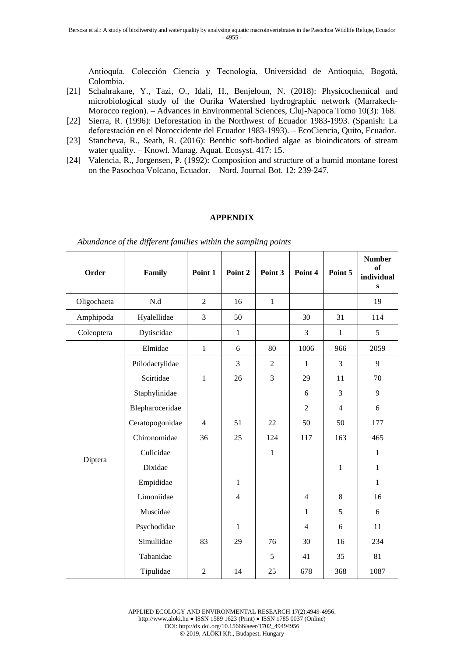Antioquía. Colección Ciencia y Tecnología, Universidad de Antioquia, Bogotá, Colombia.

- [21] Schahrakane, Y., Tazi, O., Idali, H., Benjeloun, N. (2018): Physicochemical and microbiological study of the Ourika Watershed hydrographic network (Marrakech-Morocco region). – Advances in Environmental Sciences, Cluj-Napoca Tomo 10(3): 168.
- [22] Sierra, R. (1996): Deforestation in the Northwest of Ecuador 1983-1993. (Spanish: La deforestación en el Noroccidente del Ecuador 1983-1993). – EcoCiencia, Quito, Ecuador.
- [23] Stancheva, R., Seath, R. (2016): Benthic soft-bodied algae as bioindicators of stream water quality. – Knowl. Manag. Aquat. Ecosyst. 417: 15.
- [24] Valencia, R., Jorgensen, P. (1992): Composition and structure of a humid montane forest on the Pasochoa Volcano, Ecuador. – Nord. Journal Bot. 12: 239-247.

#### **APPENDIX**

| Order       | Family          | Point 1        | Point 2        | Point 3        | Point 4        | Point 5        | <b>Number</b><br>of<br>individual<br>$\bf{s}$ |
|-------------|-----------------|----------------|----------------|----------------|----------------|----------------|-----------------------------------------------|
| Oligochaeta | N.d             | $\overline{2}$ | 16             | $\mathbf{1}$   |                |                | 19                                            |
| Amphipoda   | Hyalellidae     | 3              | 50             |                | 30             | 31             | 114                                           |
| Coleoptera  | Dytiscidae      |                | $\mathbf{1}$   |                | 3              | $\mathbf{1}$   | $\sqrt{5}$                                    |
|             | Elmidae         | $\mathbf{1}$   | 6              | 80             | 1006           | 966            | 2059                                          |
|             | Ptilodactylidae |                | 3              | $\overline{2}$ | $\mathbf{1}$   | $\overline{3}$ | 9                                             |
|             | Scirtidae       | $\mathbf{1}$   | 26             | 3              | 29             | 11             | 70                                            |
|             | Staphylinidae   |                |                |                | 6              | 3              | 9                                             |
|             | Blepharoceridae |                |                |                | $\overline{2}$ | $\overline{4}$ | 6                                             |
|             | Ceratopogonidae | $\overline{4}$ | 51             | 22             | 50             | 50             | 177                                           |
| Diptera     | Chironomidae    | 36             | 25             | 124            | 117            | 163            | 465                                           |
|             | Culicidae       |                |                | $\mathbf 1$    |                |                | $\mathbf{1}$                                  |
|             | Dixidae         |                |                |                |                | $\mathbf{1}$   | $\mathbf{1}$                                  |
|             | Empididae       |                | $\mathbf{1}$   |                |                |                | $\mathbf{1}$                                  |
|             | Limoniidae      |                | $\overline{4}$ |                | 4              | $\,8\,$        | 16                                            |
|             | Muscidae        |                |                |                | $\mathbf{1}$   | 5              | $6\,$                                         |
|             | Psychodidae     |                | $\mathbf{1}$   |                | $\overline{4}$ | 6              | 11                                            |
|             | Simuliidae      | 83             | 29             | 76             | 30             | 16             | 234                                           |
|             | Tabanidae       |                |                | 5              | 41             | 35             | 81                                            |
|             | Tipulidae       | $\overline{2}$ | 14             | 25             | 678            | 368            | 1087                                          |

*Abundance of the different families within the sampling points*

APPLIED ECOLOGY AND ENVIRONMENTAL RESEARCH 17(2):4949-4956. http://www.aloki.hu ● ISSN 1589 1623 (Print) ● ISSN 1785 0037 (Online) DOI: http://dx.doi.org/10.15666/aeer/1702\_49494956 2019, ALÖKI Kft., Budapest, Hungary